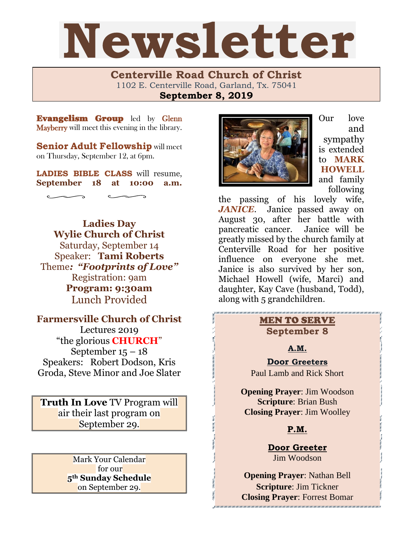# Newsletter

**Centerville Road Church of Christ**  1102 E. Centerville Road, Garland, Tx. 75041 **September 8, 2019**

Evangelism Group led by Glenn Mayberry will meet this evening in the library.

**Senior Adult Fellowship** will meet on Thursday, September 12, at 6pm.

**LADIES BIBLE CLASS** will resume, **September 18 at 10:00 a.m.**

**Ladies Day Wylie Church of Christ** Saturday, September 14 Speaker: **Tami Roberts** Theme*: "Footprints of Love"* Registration: 9am **Program: 9:30am**  Lunch Provided

**Farmersville Church of Christ**  Lectures 2019 "the glorious **CHURCH**" September  $15 - 18$ Speakers: Robert Dodson, Kris Groda, Steve Minor and Joe Slater

**Truth In Love** TV Program will air their last program on September 29.

> Mark Your Calendar for our **5th Sunday Schedule** on September 29.



Our love and sympathy is extended to **MARK HOWELL** and family following

the passing of his lovely wife, *JANICE*. Janice passed away on August 30, after her battle with pancreatic cancer. Janice will be greatly missed by the church family at Centerville Road for her positive influence on everyone she met. Janice is also survived by her son, Michael Howell (wife, Marci) and daughter, Kay Cave (husband, Todd), along with 5 grandchildren.

## MEN TO SERVE **September 8**

**A.M.**

**Door Greeters** Paul Lamb and Rick Short

**Opening Prayer**: Jim Woodson **Scripture**: Brian Bush **Closing Prayer**: Jim Woolley

## **P.M.**

**Door Greeter** Jim Woodson

**Opening Prayer**: Nathan Bell **Scripture**: Jim Tickner **Closing Prayer**: Forrest Bomar